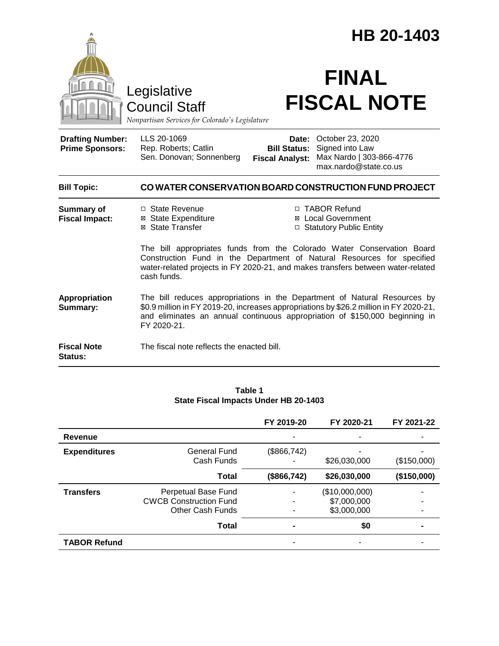|                                                                                        |                                                                                                                                                                                                                                                                   | HB 20-1403                                                                                                                                                                                                                   |                                                                                          |  |  |
|----------------------------------------------------------------------------------------|-------------------------------------------------------------------------------------------------------------------------------------------------------------------------------------------------------------------------------------------------------------------|------------------------------------------------------------------------------------------------------------------------------------------------------------------------------------------------------------------------------|------------------------------------------------------------------------------------------|--|--|
| Legislative<br><b>Council Staff</b><br>Nonpartisan Services for Colorado's Legislature |                                                                                                                                                                                                                                                                   | <b>FINAL</b><br><b>FISCAL NOTE</b>                                                                                                                                                                                           |                                                                                          |  |  |
| <b>Drafting Number:</b><br><b>Prime Sponsors:</b>                                      | LLS 20-1069<br>Rep. Roberts; Catlin<br>Sen. Donovan; Sonnenberg                                                                                                                                                                                                   | Date:<br><b>Bill Status:</b><br><b>Fiscal Analyst:</b>                                                                                                                                                                       | October 23, 2020<br>Signed into Law<br>Max Nardo   303-866-4776<br>max.nardo@state.co.us |  |  |
| <b>Bill Topic:</b>                                                                     | CO WATER CONSERVATION BOARD CONSTRUCTION FUND PROJECT                                                                                                                                                                                                             |                                                                                                                                                                                                                              |                                                                                          |  |  |
| <b>Summary of</b><br><b>Fiscal Impact:</b>                                             | □ State Revenue<br>⊠ State Expenditure<br>⊠ State Transfer                                                                                                                                                                                                        | □ TABOR Refund<br><b>⊠</b> Local Government<br>□ Statutory Public Entity<br>The bill appropriates funds from the Colorado Water Conservation Board<br>Construction Fund in the Department of Natural Resources for specified |                                                                                          |  |  |
|                                                                                        | water-related projects in FY 2020-21, and makes transfers between water-related<br>cash funds.                                                                                                                                                                    |                                                                                                                                                                                                                              |                                                                                          |  |  |
| Appropriation<br>Summary:                                                              | The bill reduces appropriations in the Department of Natural Resources by<br>\$0.9 million in FY 2019-20, increases appropriations by \$26.2 million in FY 2020-21,<br>and eliminates an annual continuous appropriation of \$150,000 beginning in<br>FY 2020-21. |                                                                                                                                                                                                                              |                                                                                          |  |  |
| <b>Fiscal Note</b><br>Status:                                                          | The fiscal note reflects the enacted bill.                                                                                                                                                                                                                        |                                                                                                                                                                                                                              |                                                                                          |  |  |

#### **Table 1 State Fiscal Impacts Under HB 20-1403**

|                     |                               | FY 2019-20  | FY 2020-21     | FY 2021-22  |
|---------------------|-------------------------------|-------------|----------------|-------------|
| Revenue             |                               |             |                |             |
| <b>Expenditures</b> | General Fund<br>Cash Funds    | (\$866,742) | \$26,030,000   | (\$150,000) |
|                     | <b>Total</b>                  | (\$866,742) | \$26,030,000   | (\$150,000) |
| <b>Transfers</b>    | Perpetual Base Fund           |             | (\$10,000,000) |             |
|                     | <b>CWCB Construction Fund</b> |             | \$7,000,000    |             |
|                     | <b>Other Cash Funds</b>       |             | \$3,000,000    |             |
|                     | Total                         |             | \$0            |             |
| <b>TABOR Refund</b> |                               |             |                |             |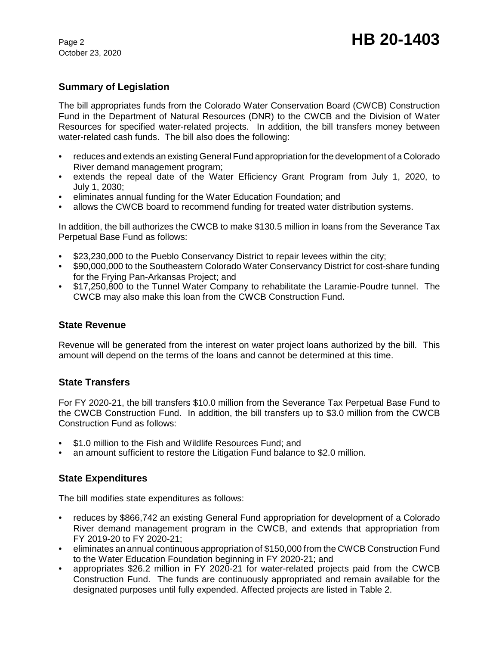October 23, 2020

# **Summary of Legislation**

The bill appropriates funds from the Colorado Water Conservation Board (CWCB) Construction Fund in the Department of Natural Resources (DNR) to the CWCB and the Division of Water Resources for specified water-related projects. In addition, the bill transfers money between water-related cash funds. The bill also does the following:

- reduces and extends an existing General Fund appropriation for the development of a Colorado River demand management program;
- extends the repeal date of the Water Efficiency Grant Program from July 1, 2020, to July 1, 2030;
- eliminates annual funding for the Water Education Foundation; and
- allows the CWCB board to recommend funding for treated water distribution systems.

In addition, the bill authorizes the CWCB to make \$130.5 million in loans from the Severance Tax Perpetual Base Fund as follows:

- \$23,230,000 to the Pueblo Conservancy District to repair levees within the city;
- \$90,000,000 to the Southeastern Colorado Water Conservancy District for cost-share funding for the Frying Pan-Arkansas Project; and
- \$17,250,800 to the Tunnel Water Company to rehabilitate the Laramie-Poudre tunnel. The CWCB may also make this loan from the CWCB Construction Fund.

#### **State Revenue**

Revenue will be generated from the interest on water project loans authorized by the bill. This amount will depend on the terms of the loans and cannot be determined at this time.

#### **State Transfers**

For FY 2020-21, the bill transfers \$10.0 million from the Severance Tax Perpetual Base Fund to the CWCB Construction Fund. In addition, the bill transfers up to \$3.0 million from the CWCB Construction Fund as follows:

- \$1.0 million to the Fish and Wildlife Resources Fund; and
- an amount sufficient to restore the Litigation Fund balance to \$2.0 million.

# **State Expenditures**

The bill modifies state expenditures as follows:

- reduces by \$866,742 an existing General Fund appropriation for development of a Colorado River demand management program in the CWCB, and extends that appropriation from FY 2019-20 to FY 2020-21;
- eliminates an annual continuous appropriation of \$150,000 from the CWCB Construction Fund to the Water Education Foundation beginning in FY 2020-21; and
- appropriates \$26.2 million in FY 2020-21 for water-related projects paid from the CWCB Construction Fund. The funds are continuously appropriated and remain available for the designated purposes until fully expended. Affected projects are listed in Table 2.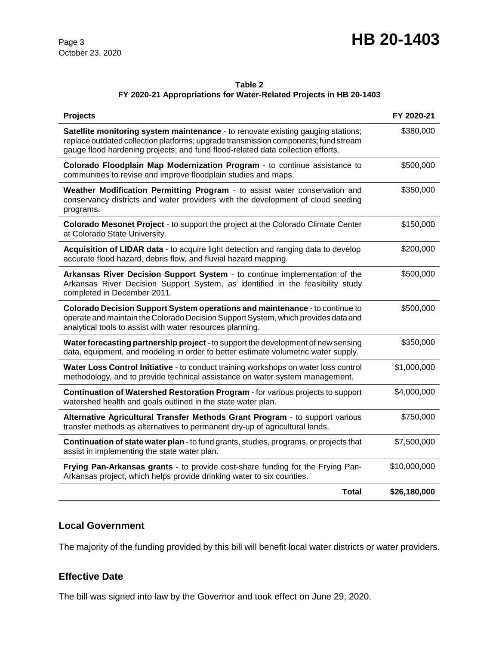# **Page 3 HB 20-1403**

## **Table 2**

#### **FY 2020-21 Appropriations for Water-Related Projects in HB 20-1403**

| <b>Projects</b>                                                                                                                                                                                                                                            | FY 2020-21   |
|------------------------------------------------------------------------------------------------------------------------------------------------------------------------------------------------------------------------------------------------------------|--------------|
| Satellite monitoring system maintenance - to renovate existing gauging stations;<br>replace outdated collection platforms; upgrade transmission components; fund stream<br>gauge flood hardening projects; and fund flood-related data collection efforts. | \$380,000    |
| Colorado Floodplain Map Modernization Program - to continue assistance to<br>communities to revise and improve floodplain studies and maps.                                                                                                                | \$500,000    |
| Weather Modification Permitting Program - to assist water conservation and<br>conservancy districts and water providers with the development of cloud seeding<br>programs.                                                                                 | \$350,000    |
| Colorado Mesonet Project - to support the project at the Colorado Climate Center<br>at Colorado State University.                                                                                                                                          | \$150,000    |
| Acquisition of LIDAR data - to acquire light detection and ranging data to develop<br>accurate flood hazard, debris flow, and fluvial hazard mapping.                                                                                                      | \$200,000    |
| Arkansas River Decision Support System - to continue implementation of the<br>Arkansas River Decision Support System, as identified in the feasibility study<br>completed in December 2011.                                                                | \$500,000    |
| Colorado Decision Support System operations and maintenance - to continue to<br>operate and maintain the Colorado Decision Support System, which provides data and<br>analytical tools to assist with water resources planning.                            | \$500,000    |
| Water forecasting partnership project - to support the development of new sensing<br>data, equipment, and modeling in order to better estimate volumetric water supply.                                                                                    | \$350,000    |
| Water Loss Control Initiative - to conduct training workshops on water loss control<br>methodology, and to provide technical assistance on water system management.                                                                                        | \$1,000,000  |
| Continuation of Watershed Restoration Program - for various projects to support<br>watershed health and goals outlined in the state water plan.                                                                                                            | \$4,000,000  |
| Alternative Agricultural Transfer Methods Grant Program - to support various<br>transfer methods as alternatives to permanent dry-up of agricultural lands.                                                                                                | \$750,000    |
| <b>Continuation of state water plan</b> - to fund grants, studies, programs, or projects that<br>assist in implementing the state water plan.                                                                                                              | \$7,500,000  |
| Frying Pan-Arkansas grants - to provide cost-share funding for the Frying Pan-<br>Arkansas project, which helps provide drinking water to six counties.                                                                                                    | \$10,000,000 |
| <b>Total</b>                                                                                                                                                                                                                                               | \$26,180,000 |

### **Local Government**

The majority of the funding provided by this bill will benefit local water districts or water providers.

# **Effective Date**

The bill was signed into law by the Governor and took effect on June 29, 2020.